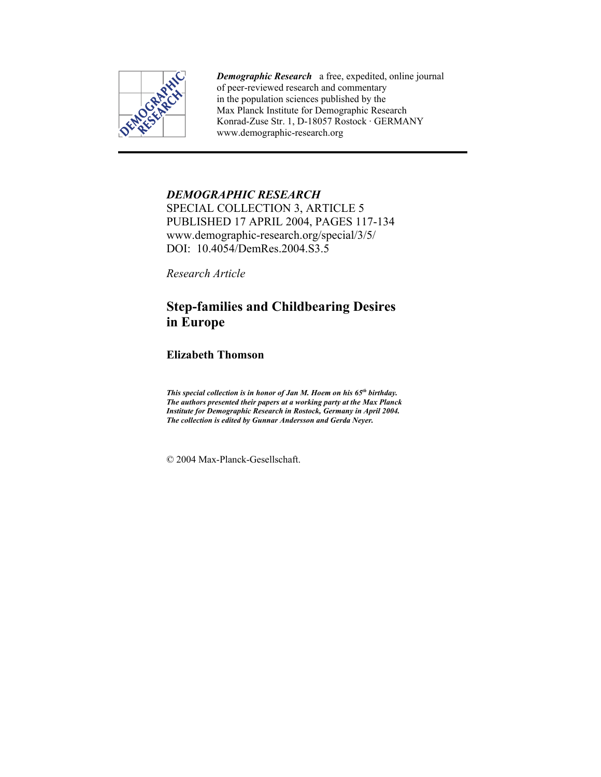

*Demographic Research* a free, expedited, online journal of peer-reviewed research and commentary in the population sciences published by the Max Planck Institute for Demographic Research Konrad-Zuse Str. 1, D-18057 Rostock · GERMANY www.demographic-research.org

### *DEMOGRAPHIC RESEARCH*  SPECIAL COLLECTION 3, ARTICLE 5 PUBLISHED 17 APRIL 2004, PAGES 117-134 www.demographic-research.org/special/3/5/ DOI: 10.4054/DemRes. 2004. S3.5

*Research Article* 

# **Step-families and Childbearing Desires in Europe**

**Elizabeth Thomson** 

*This special collection is in honor of Jan M. Hoem on his 65th birthday. The authors presented their papers at a working party at the Max Planck Institute for Demographic Research in Rostock, Germany in April 2004. The collection is edited by Gunnar Andersson and Gerda Neyer.* 

© 2004 Max-Planck-Gesellschaft.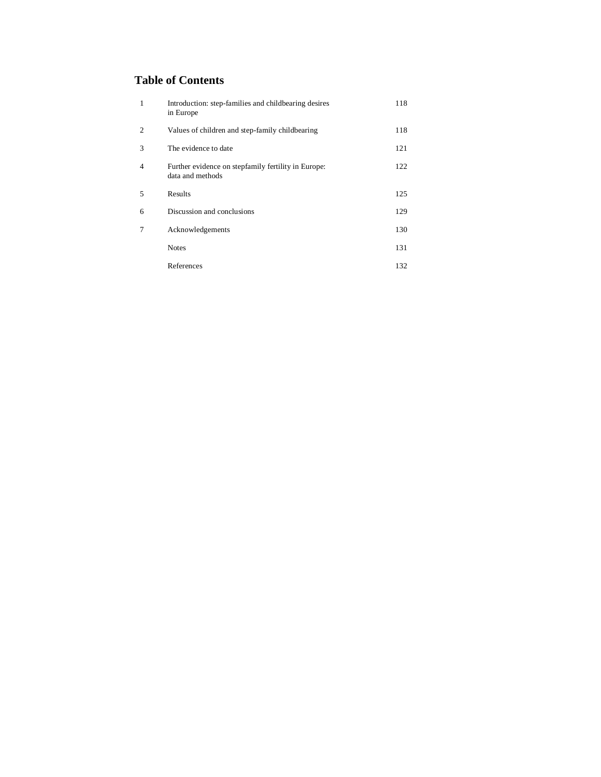## **Table of Contents**

| 1              | Introduction: step-families and childbearing desires<br>in Europe       | 118 |
|----------------|-------------------------------------------------------------------------|-----|
| 2              | Values of children and step-family childbearing                         | 118 |
| 3              | The evidence to date                                                    | 121 |
| $\overline{4}$ | Further evidence on stepfamily fertility in Europe:<br>data and methods | 122 |
| 5              | Results                                                                 | 125 |
| 6              | Discussion and conclusions                                              | 129 |
| 7              | Acknowledgements                                                        | 130 |
|                | <b>Notes</b>                                                            | 131 |
|                | References                                                              | 132 |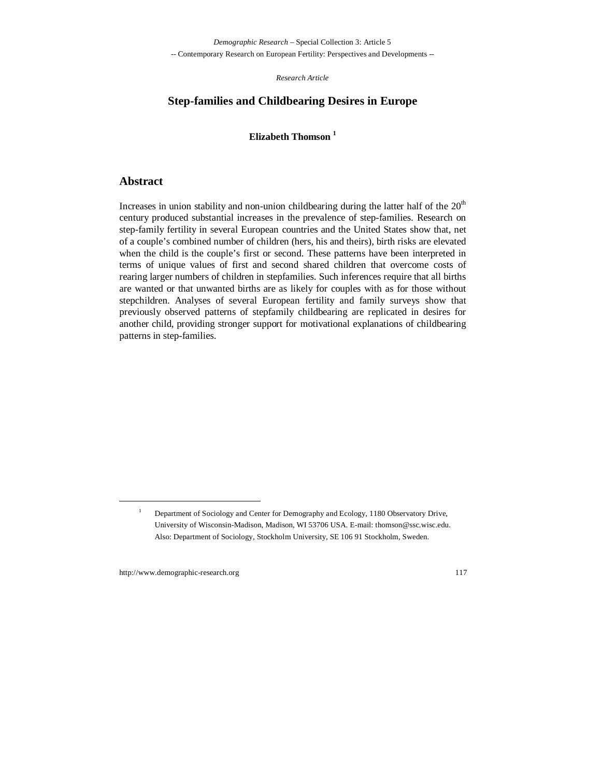*Demographic Research* – Special Collection 3: Article 5 -- Contemporary Research on European Fertility: Perspectives and Developments --

*Research Article*

#### **Step-families and Childbearing Desires in Europe**

**Elizabeth Thomson <sup>1</sup>**

#### **Abstract**

Increases in union stability and non-union childbearing during the latter half of the  $20<sup>th</sup>$ century produced substantial increases in the prevalence of step-families. Research on step-family fertility in several European countries and the United States show that, net of a couple's combined number of children (hers, his and theirs), birth risks are elevated when the child is the couple's first or second. These patterns have been interpreted in terms of unique values of first and second shared children that overcome costs of rearing larger numbers of children in stepfamilies. Such inferences require that all births are wanted or that unwanted births are as likely for couples with as for those without stepchildren. Analyses of several European fertility and family surveys show that previously observed patterns of stepfamily childbearing are replicated in desires for another child, providing stronger support for motivational explanations of childbearing patterns in step-families.

 $\overline{1}$ <sup>1</sup> Department of Sociology and Center for Demography and Ecology, 1180 Observatory Drive, University of Wisconsin-Madison, Madison, WI 53706 USA. E-mail: thomson@ssc.wisc.edu. Also: Department of Sociology, Stockholm University, SE 106 91 Stockholm, Sweden.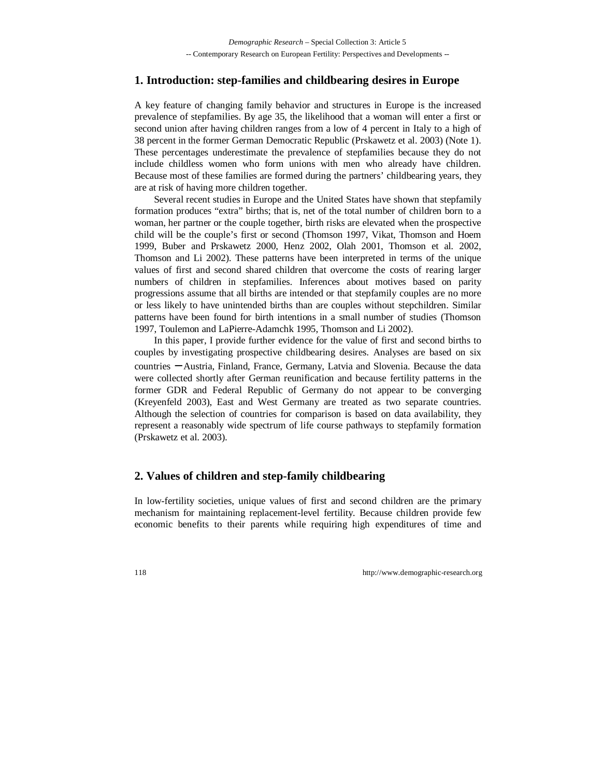### **1. Introduction: step-families and childbearing desires in Europe**

A key feature of changing family behavior and structures in Europe is the increased prevalence of stepfamilies. By age 35, the likelihood that a woman will enter a first or second union after having children ranges from a low of 4 percent in Italy to a high of 38 percent in the former German Democratic Republic (Prskawetz et al. 2003) (Note 1). These percentages underestimate the prevalence of stepfamilies because they do not include childless women who form unions with men who already have children. Because most of these families are formed during the partners' childbearing years, they are at risk of having more children together.

Several recent studies in Europe and the United States have shown that stepfamily formation produces "extra" births; that is, net of the total number of children born to a woman, her partner or the couple together, birth risks are elevated when the prospective child will be the couple's first or second (Thomson 1997, Vikat, Thomson and Hoem 1999, Buber and Prskawetz 2000, Henz 2002, Olah 2001, Thomson et al. 2002, Thomson and Li 2002). These patterns have been interpreted in terms of the unique values of first and second shared children that overcome the costs of rearing larger numbers of children in stepfamilies. Inferences about motives based on parity progressions assume that all births are intended or that stepfamily couples are no more or less likely to have unintended births than are couples without stepchildren. Similar patterns have been found for birth intentions in a small number of studies (Thomson 1997, Toulemon and LaPierre-Adamchk 1995, Thomson and Li 2002).

In this paper, I provide further evidence for the value of first and second births to couples by investigating prospective childbearing desires. Analyses are based on six countries − Austria, Finland, France, Germany, Latvia and Slovenia. Because the data were collected shortly after German reunification and because fertility patterns in the former GDR and Federal Republic of Germany do not appear to be converging (Kreyenfeld 2003), East and West Germany are treated as two separate countries. Although the selection of countries for comparison is based on data availability, they represent a reasonably wide spectrum of life course pathways to stepfamily formation (Prskawetz et al. 2003).

### **2. Values of children and step-family childbearing**

In low-fertility societies, unique values of first and second children are the primary mechanism for maintaining replacement-level fertility. Because children provide few economic benefits to their parents while requiring high expenditures of time and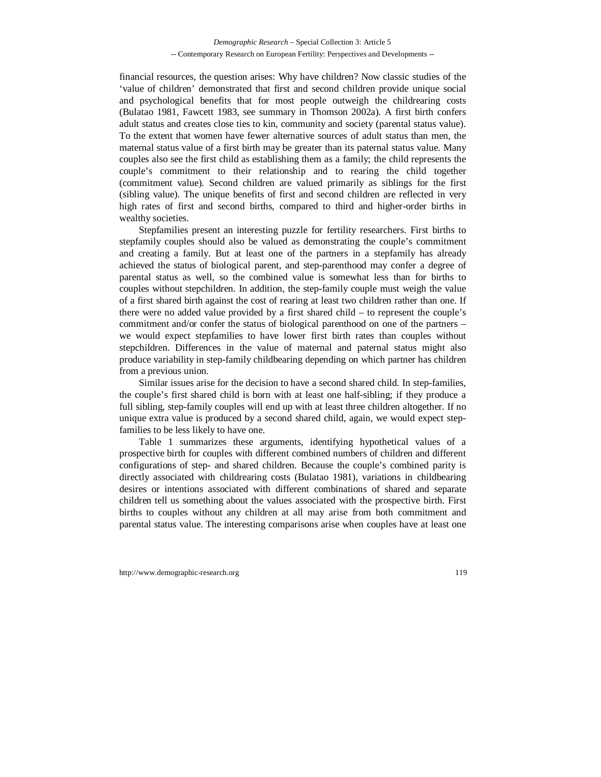financial resources, the question arises: Why have children? Now classic studies of the 'value of children' demonstrated that first and second children provide unique social and psychological benefits that for most people outweigh the childrearing costs (Bulatao 1981, Fawcett 1983, see summary in Thomson 2002a). A first birth confers adult status and creates close ties to kin, community and society (parental status value). To the extent that women have fewer alternative sources of adult status than men, the maternal status value of a first birth may be greater than its paternal status value. Many couples also see the first child as establishing them as a family; the child represents the couple's commitment to their relationship and to rearing the child together (commitment value). Second children are valued primarily as siblings for the first (sibling value). The unique benefits of first and second children are reflected in very high rates of first and second births, compared to third and higher-order births in wealthy societies.

Stepfamilies present an interesting puzzle for fertility researchers. First births to stepfamily couples should also be valued as demonstrating the couple's commitment and creating a family. But at least one of the partners in a stepfamily has already achieved the status of biological parent, and step-parenthood may confer a degree of parental status as well, so the combined value is somewhat less than for births to couples without stepchildren. In addition, the step-family couple must weigh the value of a first shared birth against the cost of rearing at least two children rather than one. If there were no added value provided by a first shared child – to represent the couple's commitment and/or confer the status of biological parenthood on one of the partners – we would expect stepfamilies to have lower first birth rates than couples without stepchildren. Differences in the value of maternal and paternal status might also produce variability in step-family childbearing depending on which partner has children from a previous union.

Similar issues arise for the decision to have a second shared child. In step-families, the couple's first shared child is born with at least one half-sibling; if they produce a full sibling, step-family couples will end up with at least three children altogether. If no unique extra value is produced by a second shared child, again, we would expect stepfamilies to be less likely to have one.

Table 1 summarizes these arguments, identifying hypothetical values of a prospective birth for couples with different combined numbers of children and different configurations of step- and shared children. Because the couple's combined parity is directly associated with childrearing costs (Bulatao 1981), variations in childbearing desires or intentions associated with different combinations of shared and separate children tell us something about the values associated with the prospective birth. First births to couples without any children at all may arise from both commitment and parental status value. The interesting comparisons arise when couples have at least one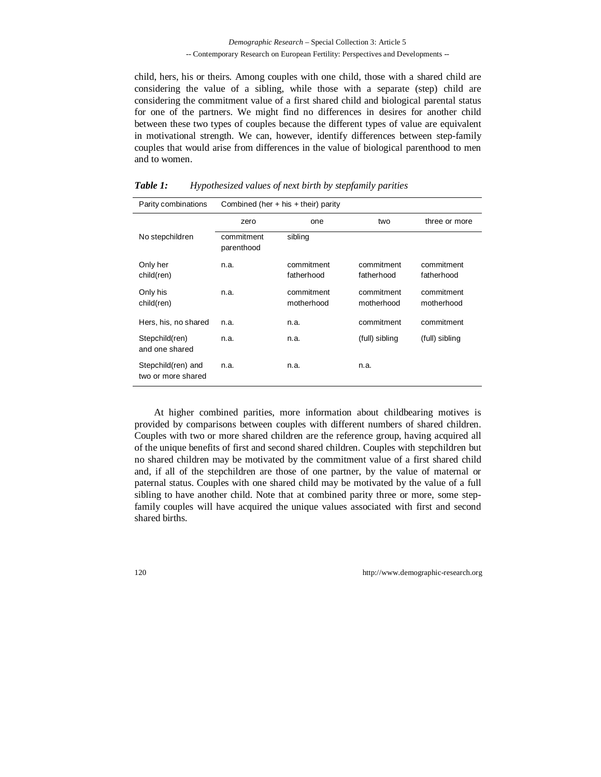child, hers, his or theirs. Among couples with one child, those with a shared child are considering the value of a sibling, while those with a separate (step) child are considering the commitment value of a first shared child and biological parental status for one of the partners. We might find no differences in desires for another child between these two types of couples because the different types of value are equivalent in motivational strength. We can, however, identify differences between step-family couples that would arise from differences in the value of biological parenthood to men and to women.

| Parity combinations                      | Combined (her $+$ his $+$ their) parity |                          |                          |                          |  |
|------------------------------------------|-----------------------------------------|--------------------------|--------------------------|--------------------------|--|
|                                          | zero                                    | one                      | two                      | three or more            |  |
| No stepchildren                          | commitment<br>parenthood                | sibling                  |                          |                          |  |
| Only her<br>child(ren)                   | n.a.                                    | commitment<br>fatherhood | commitment<br>fatherhood | commitment<br>fatherhood |  |
| Only his<br>child(ren)                   | n.a.                                    | commitment<br>motherhood | commitment<br>motherhood | commitment<br>motherhood |  |
| Hers, his, no shared                     | n.a.                                    | n.a.                     | commitment               | commitment               |  |
| Stepchild(ren)<br>and one shared         | n.a.                                    | n.a.                     | (full) sibling           | (full) sibling           |  |
| Stepchild(ren) and<br>two or more shared | n.a.                                    | n.a.                     | n.a.                     |                          |  |

*Table 1: Hypothesized values of next birth by stepfamily parities*

At higher combined parities, more information about childbearing motives is provided by comparisons between couples with different numbers of shared children. Couples with two or more shared children are the reference group, having acquired all of the unique benefits of first and second shared children. Couples with stepchildren but no shared children may be motivated by the commitment value of a first shared child and, if all of the stepchildren are those of one partner, by the value of maternal or paternal status. Couples with one shared child may be motivated by the value of a full sibling to have another child. Note that at combined parity three or more, some stepfamily couples will have acquired the unique values associated with first and second shared births.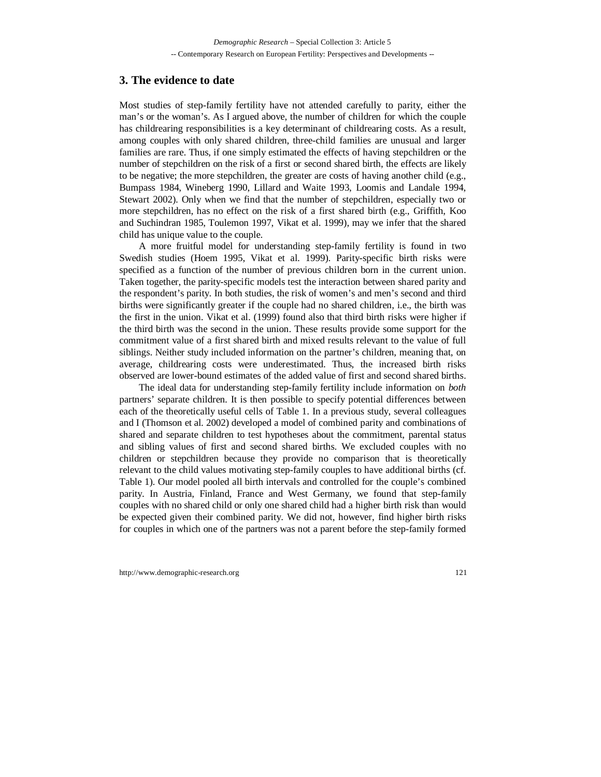*Demographic Research* – Special Collection 3: Article 5 -- Contemporary Research on European Fertility: Perspectives and Developments --

#### **3. The evidence to date**

Most studies of step-family fertility have not attended carefully to parity, either the man's or the woman's. As I argued above, the number of children for which the couple has childrearing responsibilities is a key determinant of childrearing costs. As a result, among couples with only shared children, three-child families are unusual and larger families are rare. Thus, if one simply estimated the effects of having stepchildren or the number of stepchildren on the risk of a first or second shared birth, the effects are likely to be negative; the more stepchildren, the greater are costs of having another child (e.g., Bumpass 1984, Wineberg 1990, Lillard and Waite 1993, Loomis and Landale 1994, Stewart 2002). Only when we find that the number of stepchildren, especially two or more stepchildren, has no effect on the risk of a first shared birth (e.g., Griffith, Koo and Suchindran 1985, Toulemon 1997, Vikat et al. 1999), may we infer that the shared child has unique value to the couple.

A more fruitful model for understanding step-family fertility is found in two Swedish studies (Hoem 1995, Vikat et al. 1999). Parity-specific birth risks were specified as a function of the number of previous children born in the current union. Taken together, the parity-specific models test the interaction between shared parity and the respondent's parity. In both studies, the risk of women's and men's second and third births were significantly greater if the couple had no shared children, i.e., the birth was the first in the union. Vikat et al. (1999) found also that third birth risks were higher if the third birth was the second in the union. These results provide some support for the commitment value of a first shared birth and mixed results relevant to the value of full siblings. Neither study included information on the partner's children, meaning that, on average, childrearing costs were underestimated. Thus, the increased birth risks observed are lower-bound estimates of the added value of first and second shared births.

The ideal data for understanding step-family fertility include information on *both* partners' separate children. It is then possible to specify potential differences between each of the theoretically useful cells of Table 1. In a previous study, several colleagues and I (Thomson et al. 2002) developed a model of combined parity and combinations of shared and separate children to test hypotheses about the commitment, parental status and sibling values of first and second shared births. We excluded couples with no children or stepchildren because they provide no comparison that is theoretically relevant to the child values motivating step-family couples to have additional births (cf. Table 1). Our model pooled all birth intervals and controlled for the couple's combined parity. In Austria, Finland, France and West Germany, we found that step-family couples with no shared child or only one shared child had a higher birth risk than would be expected given their combined parity. We did not, however, find higher birth risks for couples in which one of the partners was not a parent before the step-family formed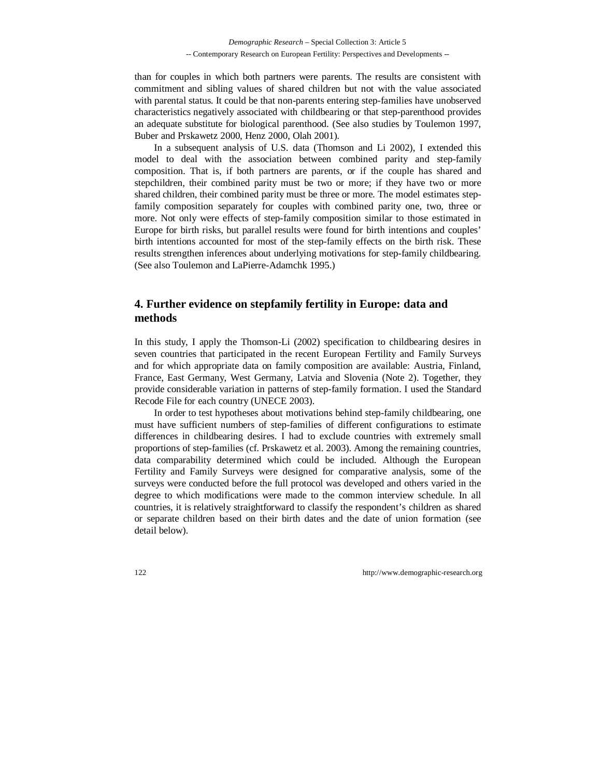than for couples in which both partners were parents. The results are consistent with commitment and sibling values of shared children but not with the value associated with parental status. It could be that non-parents entering step-families have unobserved characteristics negatively associated with childbearing or that step-parenthood provides an adequate substitute for biological parenthood. (See also studies by Toulemon 1997, Buber and Prskawetz 2000, Henz 2000, Olah 2001).

In a subsequent analysis of U.S. data (Thomson and Li 2002), I extended this model to deal with the association between combined parity and step-family composition. That is, if both partners are parents, or if the couple has shared and stepchildren, their combined parity must be two or more; if they have two or more shared children, their combined parity must be three or more. The model estimates stepfamily composition separately for couples with combined parity one, two, three or more. Not only were effects of step-family composition similar to those estimated in Europe for birth risks, but parallel results were found for birth intentions and couples' birth intentions accounted for most of the step-family effects on the birth risk. These results strengthen inferences about underlying motivations for step-family childbearing. (See also Toulemon and LaPierre-Adamchk 1995.)

### **4. Further evidence on stepfamily fertility in Europe: data and methods**

In this study, I apply the Thomson-Li (2002) specification to childbearing desires in seven countries that participated in the recent European Fertility and Family Surveys and for which appropriate data on family composition are available: Austria, Finland, France, East Germany, West Germany, Latvia and Slovenia (Note 2). Together, they provide considerable variation in patterns of step-family formation. I used the Standard Recode File for each country (UNECE 2003).

In order to test hypotheses about motivations behind step-family childbearing, one must have sufficient numbers of step-families of different configurations to estimate differences in childbearing desires. I had to exclude countries with extremely small proportions of step-families (cf. Prskawetz et al. 2003). Among the remaining countries, data comparability determined which could be included. Although the European Fertility and Family Surveys were designed for comparative analysis, some of the surveys were conducted before the full protocol was developed and others varied in the degree to which modifications were made to the common interview schedule. In all countries, it is relatively straightforward to classify the respondent's children as shared or separate children based on their birth dates and the date of union formation (see detail below).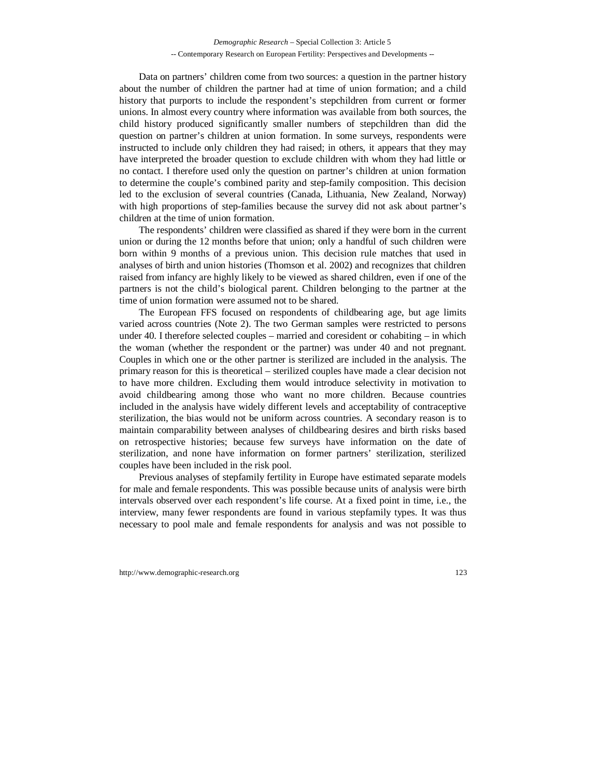*Demographic Research* – Special Collection 3: Article 5 -- Contemporary Research on European Fertility: Perspectives and Developments --

Data on partners' children come from two sources: a question in the partner history about the number of children the partner had at time of union formation; and a child history that purports to include the respondent's stepchildren from current or former unions. In almost every country where information was available from both sources, the child history produced significantly smaller numbers of stepchildren than did the question on partner's children at union formation. In some surveys, respondents were instructed to include only children they had raised; in others, it appears that they may have interpreted the broader question to exclude children with whom they had little or no contact. I therefore used only the question on partner's children at union formation to determine the couple's combined parity and step-family composition. This decision led to the exclusion of several countries (Canada, Lithuania, New Zealand, Norway) with high proportions of step-families because the survey did not ask about partner's children at the time of union formation.

The respondents' children were classified as shared if they were born in the current union or during the 12 months before that union; only a handful of such children were born within 9 months of a previous union. This decision rule matches that used in analyses of birth and union histories (Thomson et al. 2002) and recognizes that children raised from infancy are highly likely to be viewed as shared children, even if one of the partners is not the child's biological parent. Children belonging to the partner at the time of union formation were assumed not to be shared.

The European FFS focused on respondents of childbearing age, but age limits varied across countries (Note 2). The two German samples were restricted to persons under 40. I therefore selected couples – married and coresident or cohabiting – in which the woman (whether the respondent or the partner) was under 40 and not pregnant. Couples in which one or the other partner is sterilized are included in the analysis. The primary reason for this is theoretical – sterilized couples have made a clear decision not to have more children. Excluding them would introduce selectivity in motivation to avoid childbearing among those who want no more children. Because countries included in the analysis have widely different levels and acceptability of contraceptive sterilization, the bias would not be uniform across countries. A secondary reason is to maintain comparability between analyses of childbearing desires and birth risks based on retrospective histories; because few surveys have information on the date of sterilization, and none have information on former partners' sterilization, sterilized couples have been included in the risk pool.

Previous analyses of stepfamily fertility in Europe have estimated separate models for male and female respondents. This was possible because units of analysis were birth intervals observed over each respondent's life course. At a fixed point in time, i.e., the interview, many fewer respondents are found in various stepfamily types. It was thus necessary to pool male and female respondents for analysis and was not possible to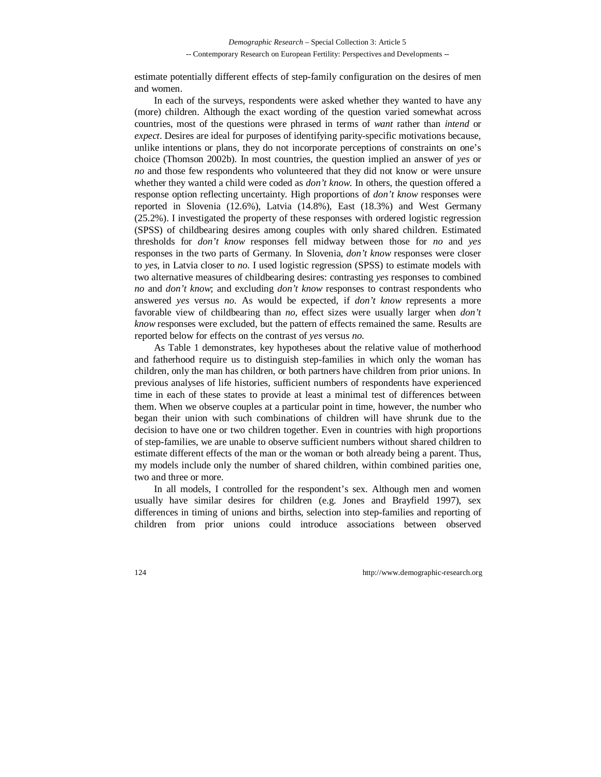estimate potentially different effects of step-family configuration on the desires of men and women.

In each of the surveys, respondents were asked whether they wanted to have any (more) children. Although the exact wording of the question varied somewhat across countries, most of the questions were phrased in terms of *want* rather than *intend* or *expect*. Desires are ideal for purposes of identifying parity-specific motivations because, unlike intentions or plans, they do not incorporate perceptions of constraints on one's choice (Thomson 2002b). In most countries, the question implied an answer of *yes* or *no* and those few respondents who volunteered that they did not know or were unsure whether they wanted a child were coded as *don't know*. In others, the question offered a response option reflecting uncertainty. High proportions of *don't know* responses were reported in Slovenia (12.6%), Latvia (14.8%), East (18.3%) and West Germany (25.2%). I investigated the property of these responses with ordered logistic regression (SPSS) of childbearing desires among couples with only shared children. Estimated thresholds for *don't know* responses fell midway between those for *no* and *yes* responses in the two parts of Germany. In Slovenia, *don't know* responses were closer to *yes*, in Latvia closer to *no*. I used logistic regression (SPSS) to estimate models with two alternative measures of childbearing desires: contrasting *yes* responses to combined *no* and *don't know*; and excluding *don't know* responses to contrast respondents who answered *yes* versus *no*. As would be expected, if *don't know* represents a more favorable view of childbearing than *no*, effect sizes were usually larger when *don't know* responses were excluded, but the pattern of effects remained the same. Results are reported below for effects on the contrast of *yes* versus *no*.

As Table 1 demonstrates, key hypotheses about the relative value of motherhood and fatherhood require us to distinguish step-families in which only the woman has children, only the man has children, or both partners have children from prior unions. In previous analyses of life histories, sufficient numbers of respondents have experienced time in each of these states to provide at least a minimal test of differences between them. When we observe couples at a particular point in time, however, the number who began their union with such combinations of children will have shrunk due to the decision to have one or two children together. Even in countries with high proportions of step-families, we are unable to observe sufficient numbers without shared children to estimate different effects of the man or the woman or both already being a parent. Thus, my models include only the number of shared children, within combined parities one, two and three or more.

In all models, I controlled for the respondent's sex. Although men and women usually have similar desires for children (e.g. Jones and Brayfield 1997), sex differences in timing of unions and births, selection into step-families and reporting of children from prior unions could introduce associations between observed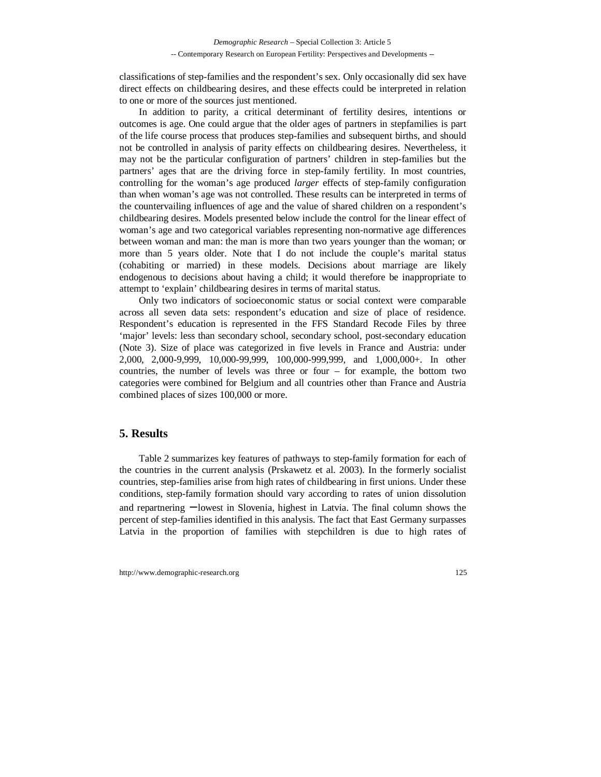classifications of step-families and the respondent's sex. Only occasionally did sex have direct effects on childbearing desires, and these effects could be interpreted in relation to one or more of the sources just mentioned.

In addition to parity, a critical determinant of fertility desires, intentions or outcomes is age. One could argue that the older ages of partners in stepfamilies is part of the life course process that produces step-families and subsequent births, and should not be controlled in analysis of parity effects on childbearing desires. Nevertheless, it may not be the particular configuration of partners' children in step-families but the partners' ages that are the driving force in step-family fertility. In most countries, controlling for the woman's age produced *larger* effects of step-family configuration than when woman's age was not controlled. These results can be interpreted in terms of the countervailing influences of age and the value of shared children on a respondent's childbearing desires. Models presented below include the control for the linear effect of woman's age and two categorical variables representing non-normative age differences between woman and man: the man is more than two years younger than the woman; or more than 5 years older. Note that I do not include the couple's marital status (cohabiting or married) in these models. Decisions about marriage are likely endogenous to decisions about having a child; it would therefore be inappropriate to attempt to 'explain' childbearing desires in terms of marital status.

Only two indicators of socioeconomic status or social context were comparable across all seven data sets: respondent's education and size of place of residence. Respondent's education is represented in the FFS Standard Recode Files by three 'major' levels: less than secondary school, secondary school, post-secondary education (Note 3). Size of place was categorized in five levels in France and Austria: under 2,000, 2,000-9,999, 10,000-99,999, 100,000-999,999, and 1,000,000+. In other countries, the number of levels was three or four – for example, the bottom two categories were combined for Belgium and all countries other than France and Austria combined places of sizes 100,000 or more.

### **5. Results**

Table 2 summarizes key features of pathways to step-family formation for each of the countries in the current analysis (Prskawetz et al. 2003). In the formerly socialist countries, step-families arise from high rates of childbearing in first unions. Under these conditions, step-family formation should vary according to rates of union dissolution and repartnering − lowest in Slovenia, highest in Latvia. The final column shows the percent of step-families identified in this analysis. The fact that East Germany surpasses Latvia in the proportion of families with stepchildren is due to high rates of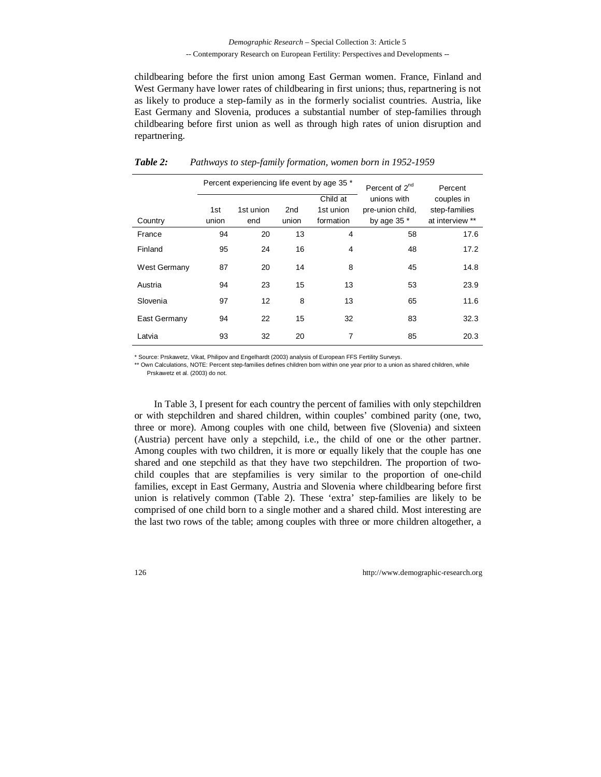childbearing before the first union among East German women. France, Finland and West Germany have lower rates of childbearing in first unions; thus, repartnering is not as likely to produce a step-family as in the formerly socialist countries. Austria, like East Germany and Slovenia, produces a substantial number of step-families through childbearing before first union as well as through high rates of union disruption and repartnering.

|              |              | Percent experiencing life event by age 35 * |                          | Percent of $2^{nd}$                | Percent                                          |                                                |
|--------------|--------------|---------------------------------------------|--------------------------|------------------------------------|--------------------------------------------------|------------------------------------------------|
| Country      | 1st<br>union | 1st union<br>end                            | 2 <sub>nd</sub><br>union | Child at<br>1st union<br>formation | unions with<br>pre-union child.<br>by age 35 $*$ | couples in<br>step-families<br>at interview ** |
| France       | 94           | 20                                          | 13                       | 4                                  | 58                                               | 17.6                                           |
| Finland      | 95           | 24                                          | 16                       | $\overline{4}$                     | 48                                               | 17.2                                           |
| West Germany | 87           | 20                                          | 14                       | 8                                  | 45                                               | 14.8                                           |
| Austria      | 94           | 23                                          | 15                       | 13                                 | 53                                               | 23.9                                           |
| Slovenia     | 97           | 12                                          | 8                        | 13                                 | 65                                               | 11.6                                           |
| East Germany | 94           | 22                                          | 15                       | 32                                 | 83                                               | 32.3                                           |
| Latvia       | 93           | 32                                          | 20                       | 7                                  | 85                                               | 20.3                                           |

#### *Table 2: Pathways to step-family formation, women born in 1952-1959*

\* Source: Prskawetz, Vikat, Philipov and Engelhardt (2003) analysis of European FFS Fertility Surveys.

\*\* Own Calculations, NOTE: Percent step-families defines children born within one year prior to a union as shared children, while Prskawetz et al. (2003) do not.

In Table 3, I present for each country the percent of families with only stepchildren or with stepchildren and shared children, within couples' combined parity (one, two, three or more). Among couples with one child, between five (Slovenia) and sixteen (Austria) percent have only a stepchild, i.e., the child of one or the other partner. Among couples with two children, it is more or equally likely that the couple has one shared and one stepchild as that they have two stepchildren. The proportion of twochild couples that are stepfamilies is very similar to the proportion of one-child families, except in East Germany, Austria and Slovenia where childbearing before first union is relatively common (Table 2). These 'extra' step-families are likely to be comprised of one child born to a single mother and a shared child. Most interesting are the last two rows of the table; among couples with three or more children altogether, a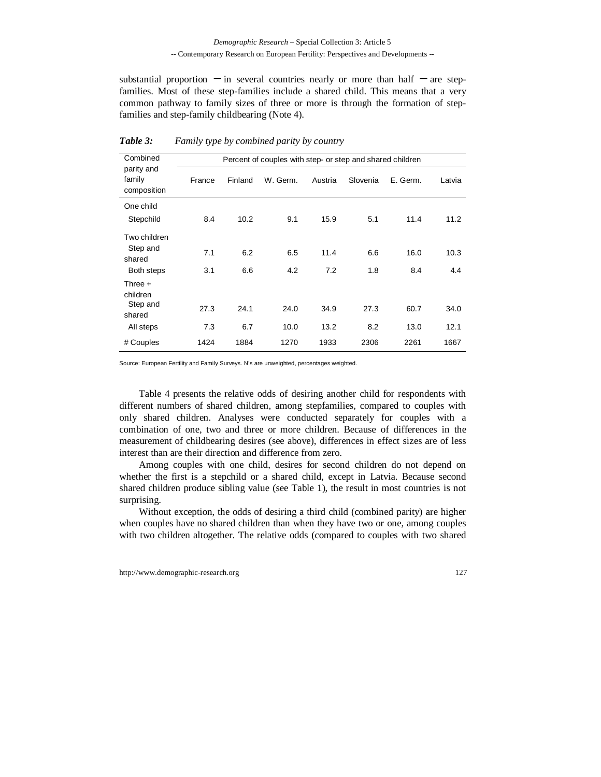substantial proportion  $-$  in several countries nearly or more than half  $-$  are stepfamilies. Most of these step-families include a shared child. This means that a very common pathway to family sizes of three or more is through the formation of stepfamilies and step-family childbearing (Note 4).

| Combined                                         | Percent of couples with step- or step and shared children |            |            |             |            |             |             |
|--------------------------------------------------|-----------------------------------------------------------|------------|------------|-------------|------------|-------------|-------------|
| parity and<br>family<br>composition              | France                                                    | Finland    | W. Germ.   | Austria     | Slovenia   | E. Germ.    | Latvia      |
| One child<br>Stepchild                           | 8.4                                                       | 10.2       | 9.1        | 15.9        | 5.1        | 11.4        | 11.2        |
| Two children<br>Step and<br>shared<br>Both steps | 7.1<br>3.1                                                | 6.2<br>6.6 | 6.5<br>4.2 | 11.4<br>7.2 | 6.6<br>1.8 | 16.0<br>8.4 | 10.3<br>4.4 |
| Three $+$<br>children<br>Step and<br>shared      | 27.3                                                      | 24.1       | 24.0       | 34.9        | 27.3       | 60.7        | 34.0        |
| All steps                                        | 7.3                                                       | 6.7        | 10.0       | 13.2        | 8.2        | 13.0        | 12.1        |
| # Couples                                        | 1424                                                      | 1884       | 1270       | 1933        | 2306       | 2261        | 1667        |

*Table 3: Family type by combined parity by country*

Source: European Fertility and Family Surveys. N's are unweighted, percentages weighted.

Table 4 presents the relative odds of desiring another child for respondents with different numbers of shared children, among stepfamilies, compared to couples with only shared children. Analyses were conducted separately for couples with a combination of one, two and three or more children. Because of differences in the measurement of childbearing desires (see above), differences in effect sizes are of less interest than are their direction and difference from zero.

Among couples with one child, desires for second children do not depend on whether the first is a stepchild or a shared child, except in Latvia. Because second shared children produce sibling value (see Table 1), the result in most countries is not surprising.

Without exception, the odds of desiring a third child (combined parity) are higher when couples have no shared children than when they have two or one, among couples with two children altogether. The relative odds (compared to couples with two shared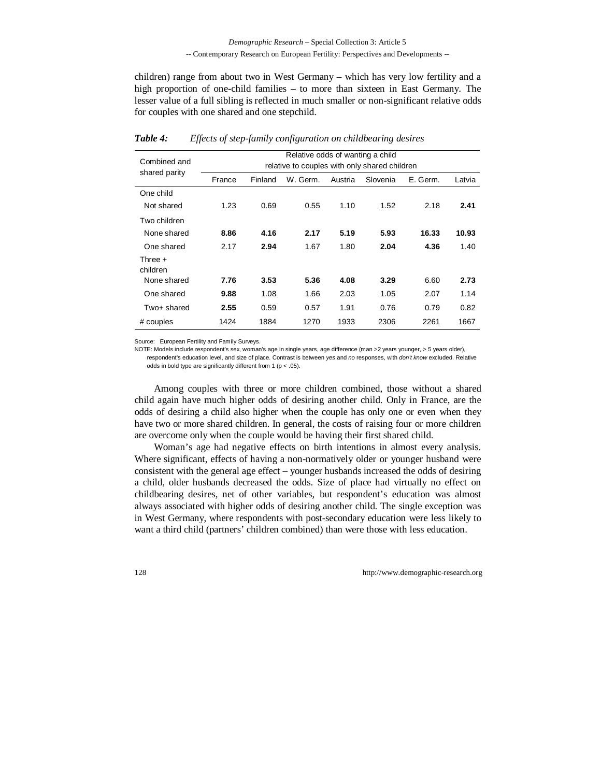children) range from about two in West Germany – which has very low fertility and a high proportion of one-child families – to more than sixteen in East Germany. The lesser value of a full sibling is reflected in much smaller or non-significant relative odds for couples with one shared and one stepchild.

| Combined and                | Relative odds of wanting a child<br>relative to couples with only shared children |         |          |         |          |          |        |
|-----------------------------|-----------------------------------------------------------------------------------|---------|----------|---------|----------|----------|--------|
| shared parity               | France                                                                            | Finland | W. Germ. | Austria | Slovenia | E. Germ. | Latvia |
| One child<br>Not shared     | 1.23                                                                              | 0.69    | 0.55     | 1.10    | 1.52     | 2.18     | 2.41   |
| Two children<br>None shared | 8.86                                                                              | 4.16    | 2.17     | 5.19    | 5.93     | 16.33    | 10.93  |
| One shared                  | 2.17                                                                              | 2.94    | 1.67     | 1.80    | 2.04     | 4.36     | 1.40   |
| Three +<br>children         |                                                                                   |         |          |         |          |          |        |
| None shared                 | 7.76                                                                              | 3.53    | 5.36     | 4.08    | 3.29     | 6.60     | 2.73   |
| One shared                  | 9.88                                                                              | 1.08    | 1.66     | 2.03    | 1.05     | 2.07     | 1.14   |
| Two+ shared                 | 2.55                                                                              | 0.59    | 0.57     | 1.91    | 0.76     | 0.79     | 0.82   |
| # couples                   | 1424                                                                              | 1884    | 1270     | 1933    | 2306     | 2261     | 1667   |

| Table 4: |  |  | Effects of step-family configuration on childbearing desires |
|----------|--|--|--------------------------------------------------------------|
|----------|--|--|--------------------------------------------------------------|

Source: European Fertility and Family Surveys.

NOTE: Models include respondent's sex, woman's age in single years, age difference (man >2 years younger, > 5 years older), respondent's education level, and size of place. Contrast is between yes and no responses, with don't know excluded. Relative odds in bold type are significantly different from 1 (p < .05).

Among couples with three or more children combined, those without a shared child again have much higher odds of desiring another child. Only in France, are the odds of desiring a child also higher when the couple has only one or even when they have two or more shared children. In general, the costs of raising four or more children are overcome only when the couple would be having their first shared child.

Woman's age had negative effects on birth intentions in almost every analysis. Where significant, effects of having a non-normatively older or younger husband were consistent with the general age effect – younger husbands increased the odds of desiring a child, older husbands decreased the odds. Size of place had virtually no effect on childbearing desires, net of other variables, but respondent's education was almost always associated with higher odds of desiring another child. The single exception was in West Germany, where respondents with post-secondary education were less likely to want a third child (partners' children combined) than were those with less education.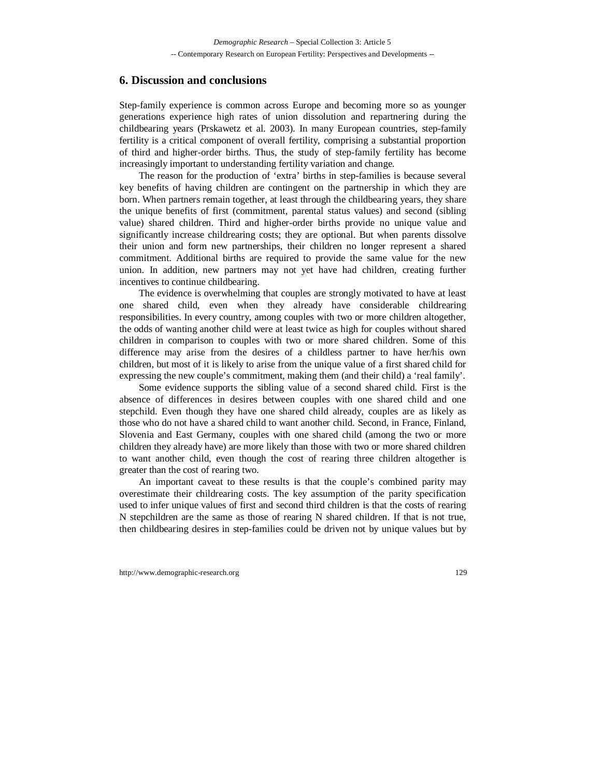### **6. Discussion and conclusions**

Step-family experience is common across Europe and becoming more so as younger generations experience high rates of union dissolution and repartnering during the childbearing years (Prskawetz et al. 2003). In many European countries, step-family fertility is a critical component of overall fertility, comprising a substantial proportion of third and higher-order births. Thus, the study of step-family fertility has become increasingly important to understanding fertility variation and change.

The reason for the production of 'extra' births in step-families is because several key benefits of having children are contingent on the partnership in which they are born. When partners remain together, at least through the childbearing years, they share the unique benefits of first (commitment, parental status values) and second (sibling value) shared children. Third and higher-order births provide no unique value and significantly increase childrearing costs; they are optional. But when parents dissolve their union and form new partnerships, their children no longer represent a shared commitment. Additional births are required to provide the same value for the new union. In addition, new partners may not yet have had children, creating further incentives to continue childbearing.

The evidence is overwhelming that couples are strongly motivated to have at least one shared child, even when they already have considerable childrearing responsibilities. In every country, among couples with two or more children altogether, the odds of wanting another child were at least twice as high for couples without shared children in comparison to couples with two or more shared children. Some of this difference may arise from the desires of a childless partner to have her/his own children, but most of it is likely to arise from the unique value of a first shared child for expressing the new couple's commitment, making them (and their child) a 'real family'.

Some evidence supports the sibling value of a second shared child. First is the absence of differences in desires between couples with one shared child and one stepchild. Even though they have one shared child already, couples are as likely as those who do not have a shared child to want another child. Second, in France, Finland, Slovenia and East Germany, couples with one shared child (among the two or more children they already have) are more likely than those with two or more shared children to want another child, even though the cost of rearing three children altogether is greater than the cost of rearing two.

An important caveat to these results is that the couple's combined parity may overestimate their childrearing costs. The key assumption of the parity specification used to infer unique values of first and second third children is that the costs of rearing N stepchildren are the same as those of rearing N shared children. If that is not true, then childbearing desires in step-families could be driven not by unique values but by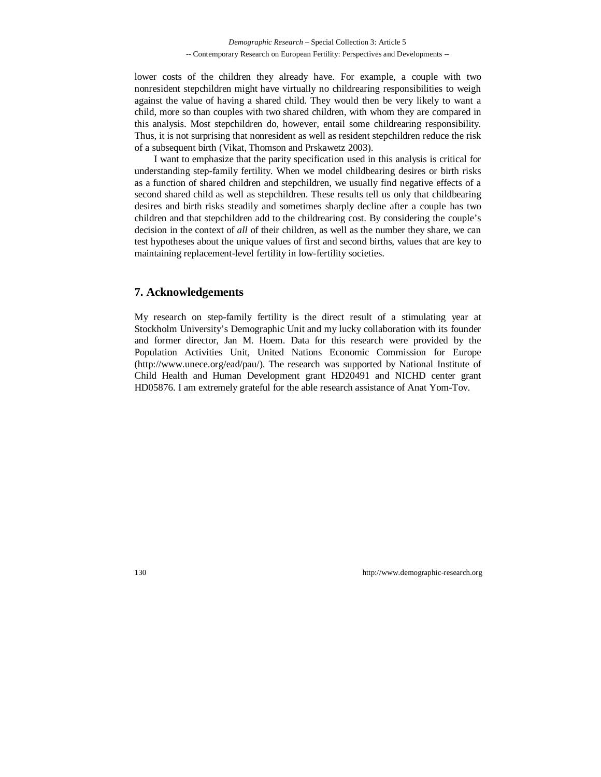lower costs of the children they already have. For example, a couple with two nonresident stepchildren might have virtually no childrearing responsibilities to weigh against the value of having a shared child. They would then be very likely to want a child, more so than couples with two shared children, with whom they are compared in this analysis. Most stepchildren do, however, entail some childrearing responsibility. Thus, it is not surprising that nonresident as well as resident stepchildren reduce the risk of a subsequent birth (Vikat, Thomson and Prskawetz 2003).

I want to emphasize that the parity specification used in this analysis is critical for understanding step-family fertility. When we model childbearing desires or birth risks as a function of shared children and stepchildren, we usually find negative effects of a second shared child as well as stepchildren. These results tell us only that childbearing desires and birth risks steadily and sometimes sharply decline after a couple has two children and that stepchildren add to the childrearing cost. By considering the couple's decision in the context of *all* of their children, as well as the number they share, we can test hypotheses about the unique values of first and second births, values that are key to maintaining replacement-level fertility in low-fertility societies.

### **7. Acknowledgements**

My research on step-family fertility is the direct result of a stimulating year at Stockholm University's Demographic Unit and my lucky collaboration with its founder and former director, Jan M. Hoem. Data for this research were provided by the Population Activities Unit, United Nations Economic Commission for Europe (http://www.unece.org/ead/pau/). The research was supported by National Institute of Child Health and Human Development grant HD20491 and NICHD center grant HD05876. I am extremely grateful for the able research assistance of Anat Yom-Tov.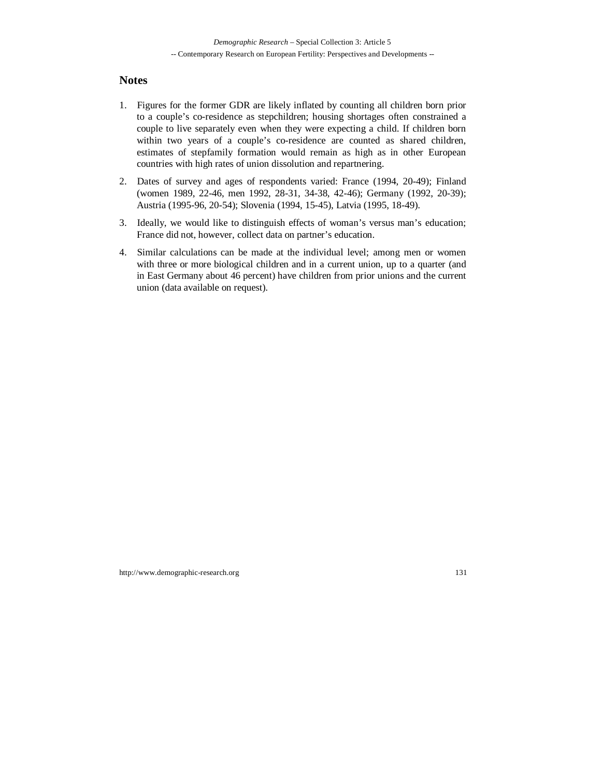### **Notes**

- 1. Figures for the former GDR are likely inflated by counting all children born prior to a couple's co-residence as stepchildren; housing shortages often constrained a couple to live separately even when they were expecting a child. If children born within two years of a couple's co-residence are counted as shared children, estimates of stepfamily formation would remain as high as in other European countries with high rates of union dissolution and repartnering.
- 2. Dates of survey and ages of respondents varied: France (1994, 20-49); Finland (women 1989, 22-46, men 1992, 28-31, 34-38, 42-46); Germany (1992, 20-39); Austria (1995-96, 20-54); Slovenia (1994, 15-45), Latvia (1995, 18-49).
- 3. Ideally, we would like to distinguish effects of woman's versus man's education; France did not, however, collect data on partner's education.
- 4. Similar calculations can be made at the individual level; among men or women with three or more biological children and in a current union, up to a quarter (and in East Germany about 46 percent) have children from prior unions and the current union (data available on request).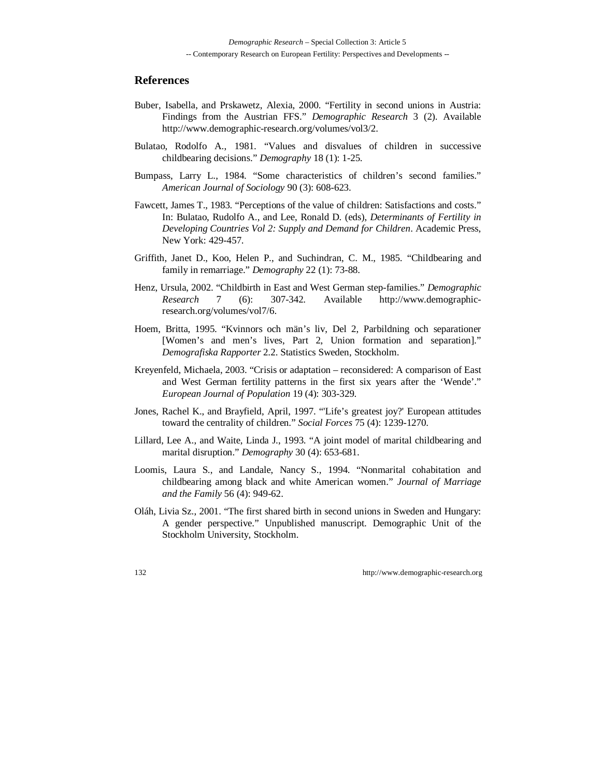#### **References**

- Buber, Isabella, and Prskawetz, Alexia, 2000. "Fertility in second unions in Austria: Findings from the Austrian FFS." *Demographic Research* 3 (2). Available http://www.demographic-research.org/volumes/vol3/2.
- Bulatao, Rodolfo A., 1981. "Values and disvalues of children in successive childbearing decisions." *Demography* 18 (1): 1-25.
- Bumpass, Larry L., 1984. "Some characteristics of children's second families." *American Journal of Sociology* 90 (3): 608-623.
- Fawcett, James T., 1983. "Perceptions of the value of children: Satisfactions and costs." In: Bulatao, Rudolfo A., and Lee, Ronald D. (eds), *Determinants of Fertility in Developing Countries Vol 2: Supply and Demand for Children*. Academic Press, New York: 429-457.
- Griffith, Janet D., Koo, Helen P., and Suchindran, C. M., 1985. "Childbearing and family in remarriage." *Demography* 22 (1): 73-88.
- Henz, Ursula, 2002. "Childbirth in East and West German step-families." *Demographic Research* 7 (6): 307-342. Available http://www.demographicresearch.org/volumes/vol7/6.
- Hoem, Britta, 1995. "Kvinnors och män's liv, Del 2, Parbildning och separationer [Women's and men's lives, Part 2, Union formation and separation]." *Demografiska Rapporter* 2.2. Statistics Sweden, Stockholm.
- Kreyenfeld, Michaela, 2003. "Crisis or adaptation reconsidered: A comparison of East and West German fertility patterns in the first six years after the 'Wende'." *European Journal of Population* 19 (4): 303-329.
- Jones, Rachel K., and Brayfield, April, 1997. "'Life's greatest joy?' European attitudes toward the centrality of children." *Social Forces* 75 (4): 1239-1270.
- Lillard, Lee A., and Waite, Linda J., 1993. "A joint model of marital childbearing and marital disruption." *Demography* 30 (4): 653-681.
- Loomis, Laura S., and Landale, Nancy S., 1994. "Nonmarital cohabitation and childbearing among black and white American women." *Journal of Marriage and the Family* 56 (4): 949-62.
- Oláh, Livia Sz., 2001. "The first shared birth in second unions in Sweden and Hungary: A gender perspective." Unpublished manuscript. Demographic Unit of the Stockholm University, Stockholm.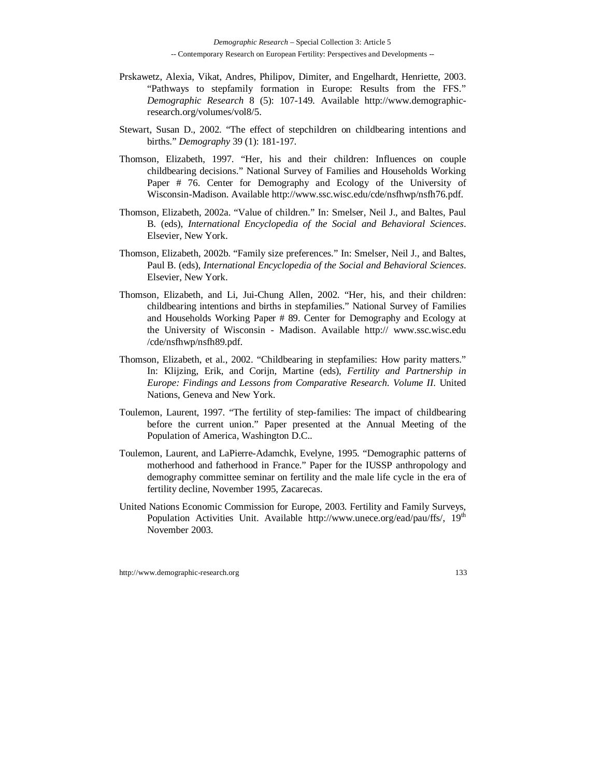- Prskawetz, Alexia, Vikat, Andres, Philipov, Dimiter, and Engelhardt, Henriette, 2003. "Pathways to stepfamily formation in Europe: Results from the FFS." *Demographic Research* 8 (5): 107-149. Available http://www.demographicresearch.org/volumes/vol8/5.
- Stewart, Susan D., 2002. "The effect of stepchildren on childbearing intentions and births." *Demography* 39 (1): 181-197.
- Thomson, Elizabeth, 1997. "Her, his and their children: Influences on couple childbearing decisions." National Survey of Families and Households Working Paper # 76. Center for Demography and Ecology of the University of Wisconsin-Madison. Available http://www.ssc.wisc.edu/cde/nsfhwp/nsfh76.pdf.
- Thomson, Elizabeth, 2002a. "Value of children." In: Smelser, Neil J., and Baltes, Paul B. (eds), *International Encyclopedia of the Social and Behavioral Sciences*. Elsevier, New York.
- Thomson, Elizabeth, 2002b. "Family size preferences." In: Smelser, Neil J., and Baltes, Paul B. (eds), *International Encyclopedia of the Social and Behavioral Sciences*. Elsevier, New York.
- Thomson, Elizabeth, and Li, Jui-Chung Allen, 2002. "Her, his, and their children: childbearing intentions and births in stepfamilies." National Survey of Families and Households Working Paper # 89. Center for Demography and Ecology at the University of Wisconsin - Madison. Available http:// www.ssc.wisc.edu /cde/nsfhwp/nsfh89.pdf.
- Thomson, Elizabeth, et al., 2002. "Childbearing in stepfamilies: How parity matters." In: Klijzing, Erik, and Corijn, Martine (eds), *Fertility and Partnership in Europe: Findings and Lessons from Comparative Research*. *Volume II*. United Nations, Geneva and New York.
- Toulemon, Laurent, 1997. "The fertility of step-families: The impact of childbearing before the current union." Paper presented at the Annual Meeting of the Population of America, Washington D.C..
- Toulemon, Laurent, and LaPierre-Adamchk, Evelyne, 1995. "Demographic patterns of motherhood and fatherhood in France." Paper for the IUSSP anthropology and demography committee seminar on fertility and the male life cycle in the era of fertility decline, November 1995, Zacarecas.
- United Nations Economic Commission for Europe, 2003. Fertility and Family Surveys, Population Activities Unit. Available http://www.unece.org/ead/pau/ffs/, 19<sup>th</sup> November 2003.